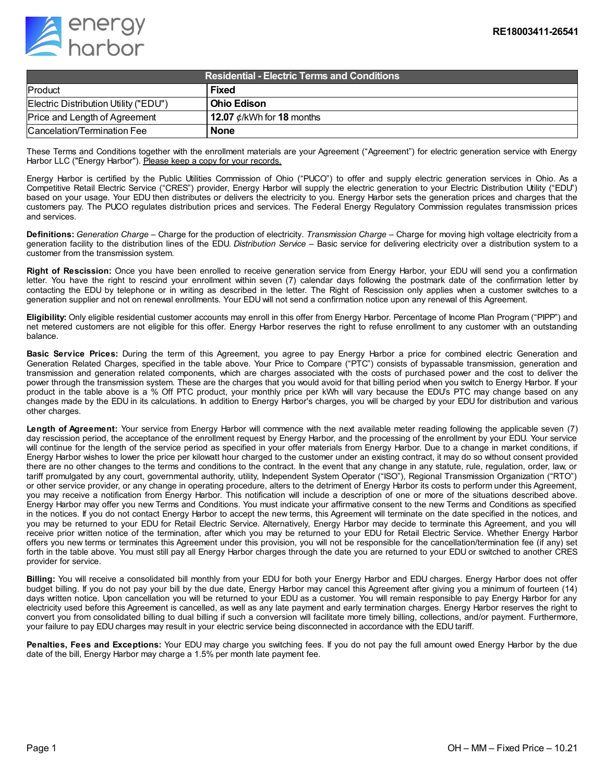

| <b>Residential - Electric Terms and Conditions</b> |                                 |
|----------------------------------------------------|---------------------------------|
| Product                                            | Fixed                           |
| Electric Distribution Utility ("EDU")              | l Ohio Edison                   |
| Price and Length of Agreement                      | 12.07 $\phi$ /kWh for 18 months |
| Cancelation/Termination Fee                        | <b>None</b>                     |

These Terms and Conditions together with the enrollment materials are your Agreement ("Agreement") for electric generation service with Energy Harbor LLC ("Energy Harbor"). Please keep a copy for your records.

Energy Harbor is certified by the Public Utilities Commission of Ohio ("PUCO") to offer and supply electric generation services in Ohio. As a Competitive Retail Electric Service ("CRES") provider, Energy Harbor will supply the electric generation to your Electric Distribution Utility ("EDU") based on your usage. Your EDU then distributes or delivers the electricity to you. Energy Harbor sets the generation prices and charges that the customers pay. The PUCO regulates distribution prices and services. The Federal Energy Regulatory Commission regulates transmission prices and services.

**Definitions:** *Generation Charge* – Charge for the production of electricity. *Transmission Charge* – Charge for moving high voltage electricity from a generation facility to the distribution lines of the EDU. *Distribution Service* – Basic service for delivering electricity over a distribution system to a customer from the transmission system.

**Right of Rescission:** Once you have been enrolled to receive generation service from Energy Harbor, your EDU will send you a confirmation letter. You have the right to rescind your enrollment within seven (7) calendar days following the postmark date of the confirmation letter by contacting the EDU by telephone or in writing as described in the letter. The Right of Rescission only applies when a customer switches to a generation supplier and not on renewal enrollments. Your EDU will not send a confirmation notice upon any renewal of this Agreement.

**Eligibility:** Only eligible residential customer accounts may enroll in this offer from Energy Harbor. Percentage of Income Plan Program ("PIPP") and net metered customers are not eligible for this offer. Energy Harbor reserves the right to refuse enrollment to any customer with an outstanding balance.

**Basic Service Prices:** During the term of this Agreement, you agree to pay Energy Harbor a price for combined electric Generation and Generation Related Charges, specified in the table above. Your Price to Compare ("PTC") consists of bypassable transmission, generation and transmission and generation related components, which are charges associated with the costs of purchased power and the cost to deliver the power through the transmission system. These are the charges that you would avoid for that billing period when you switch to Energy Harbor. If your product in the table above is a % Off PTC product, your monthly price per kWh will vary because the EDU's PTC may change based on any changes made by the EDU in its calculations. In addition to Energy Harbor's charges, you will be charged by your EDU for distribution and various other charges.

**Length of Agreement:** Your service from Energy Harbor will commence with the next available meter reading following the applicable seven (7) day rescission period, the acceptance of the enrollment request by Energy Harbor, and the processing of the enrollment by your EDU. Your service will continue for the length of the service period as specified in your offer materials from Energy Harbor. Due to a change in market conditions, if Energy Harbor wishes to lower the price per kilowatt hour charged to the customer under an existing contract, it may do so without consent provided there are no other changes to the terms and conditions to the contract. In the event that any change in any statute, rule, regulation, order, law, or tariff promulgated by any court, governmental authority, utility, Independent System Operator ("ISO"), Regional Transmission Organization ("RTO") or other service provider, or any change in operating procedure, alters to the detriment of Energy Harbor its costs to perform under this Agreement, you may receive a notification from Energy Harbor. This notification will include a description of one or more of the situations described above. Energy Harbor may offer you new Terms and Conditions. You must indicate your affirmative consent to the new Terms and Conditions as specified in the notices. If you do not contact Energy Harbor to accept the new terms, this Agreement will terminate on the date specified in the notices, and you may be returned to your EDU for Retail Electric Service. Alternatively, Energy Harbor may decide to terminate this Agreement, and you will receive prior written notice of the termination, after which you may be returned to your EDU for Retail Electric Service. Whether Energy Harbor offers you new terms or terminates this Agreement under this provision, you will not be responsible for the cancellation/termination fee (if any) set forth in the table above. You must still pay all Energy Harbor charges through the date you are returned to your EDU or switched to another CRES provider for service.

**Billing:** You will receive a consolidated bill monthly from your EDU for both your Energy Harbor and EDU charges. Energy Harbor does not offer budget billing. If you do not pay your bill by the due date, Energy Harbor may cancel this Agreement after giving you a minimum of fourteen (14) days written notice. Upon cancellation you will be returned to your EDU as a customer. You will remain responsible to pay Energy Harbor for any electricity used before this Agreement is cancelled, as well as any late payment and early termination charges. Energy Harbor reserves the right to convert you from consolidated billing to dual billing if such a conversion will facilitate more timely billing, collections, and/or payment. Furthermore, your failure to pay EDU charges may result in your electric service being disconnected in accordance with the EDU tariff.

**Penalties, Fees and Exceptions:** Your EDU may charge you switching fees. If you do not pay the full amount owed Energy Harbor by the due date of the bill, Energy Harbor may charge a 1.5% per month late payment fee.